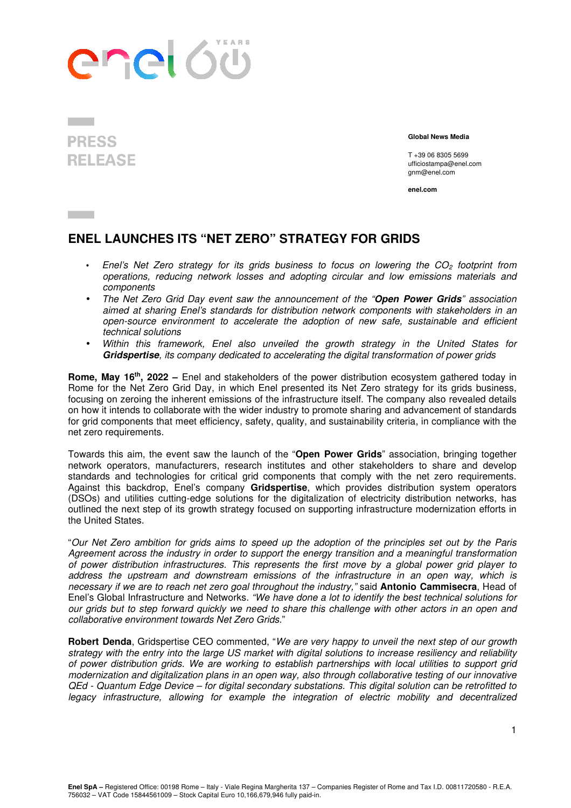## enel 60

## **PRESS REI FASE**

 **Global News Media** 

T +39 06 8305 5699 ufficiostampa@enel.com gnm@enel.com

**enel.com**

## **ENEL LAUNCHES ITS "NET ZERO" STRATEGY FOR GRIDS**

- Enel's Net Zero strategy for its grids business to focus on lowering the  $CO<sub>2</sub>$  footprint from operations, reducing network losses and adopting circular and low emissions materials and components
- The Net Zero Grid Day event saw the announcement of the "**Open Power Grids**" association aimed at sharing Enel's standards for distribution network components with stakeholders in an open-source environment to accelerate the adoption of new safe, sustainable and efficient technical solutions
- Within this framework, Enel also unveiled the growth strategy in the United States for **Gridspertise**, its company dedicated to accelerating the digital transformation of power grids

**Rome, May 16th, 2022 –** Enel and stakeholders of the power distribution ecosystem gathered today in Rome for the Net Zero Grid Day, in which Enel presented its Net Zero strategy for its grids business, focusing on zeroing the inherent emissions of the infrastructure itself. The company also revealed details on how it intends to collaborate with the wider industry to promote sharing and advancement of standards for grid components that meet efficiency, safety, quality, and sustainability criteria, in compliance with the net zero requirements.

Towards this aim, the event saw the launch of the "**Open Power Grids**" association, bringing together network operators, manufacturers, research institutes and other stakeholders to share and develop standards and technologies for critical grid components that comply with the net zero requirements. Against this backdrop, Enel's company **Gridspertise**, which provides distribution system operators (DSOs) and utilities cutting-edge solutions for the digitalization of electricity distribution networks, has outlined the next step of its growth strategy focused on supporting infrastructure modernization efforts in the United States.

"Our Net Zero ambition for grids aims to speed up the adoption of the principles set out by the Paris Agreement across the industry in order to support the energy transition and a meaningful transformation of power distribution infrastructures. This represents the first move by a global power grid player to address the upstream and downstream emissions of the infrastructure in an open way, which is necessary if we are to reach net zero goal throughout the industry," said **Antonio Cammisecra**, Head of Enel's Global Infrastructure and Networks. "We have done a lot to identify the best technical solutions for our grids but to step forward quickly we need to share this challenge with other actors in an open and collaborative environment towards Net Zero Grids."

**Robert Denda**, Gridspertise CEO commented, "We are very happy to unveil the next step of our growth strategy with the entry into the large US market with digital solutions to increase resiliency and reliability of power distribution grids. We are working to establish partnerships with local utilities to support grid modernization and digitalization plans in an open way, also through collaborative testing of our innovative QEd - Quantum Edge Device – for digital secondary substations. This digital solution can be retrofitted to legacy infrastructure, allowing for example the integration of electric mobility and decentralized